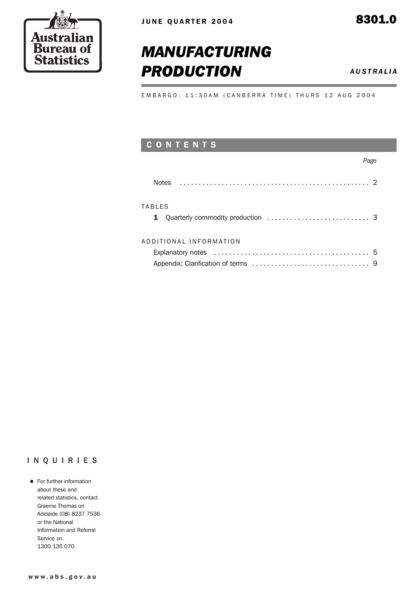

# *MANUFACTURING* **PRODUCTION** *AUSTRALIA*

EMBARGO: 11:30AM (CANBERRA TIME) THURS 12 AUG 2004

## C O N T E N T S

#### *Page*

| <b>Notes</b>                                                                                     |  |
|--------------------------------------------------------------------------------------------------|--|
| <b>TABLES</b>                                                                                    |  |
| ADDITIONAL INFORMATION                                                                           |  |
| Explanatory notes $\ldots \ldots \ldots \ldots \ldots \ldots \ldots \ldots \ldots \ldots \ldots$ |  |
|                                                                                                  |  |

#### INQUIRIES

**For further information** about these and related statistics, contact Graeme Thomas on Adelaide (08) 8237 7536 or the National Information and Referral Service on 1300 135 070.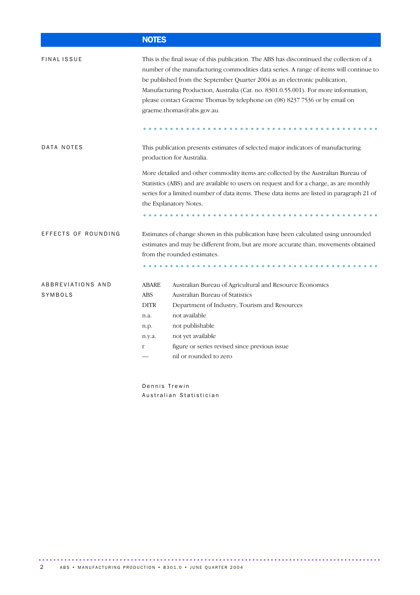## NOTES

| <b>FINAL ISSUE</b>           | This is the final issue of this publication. The ABS has discontinued the collection of a<br>number of the manufacturing commodities data series. A range of items will continue to<br>be published from the September Quarter 2004 as an electronic publication,<br>Manufacturing Production, Australia (Cat. no. 8301.0.55.001). For more information,<br>please contact Graeme Thomas by telephone on (08) 8237 7536 or by email on<br>graeme.thomas@abs.gov.au. |                                                                                                                                                                                                                                                        |  |  |  |  |  |
|------------------------------|---------------------------------------------------------------------------------------------------------------------------------------------------------------------------------------------------------------------------------------------------------------------------------------------------------------------------------------------------------------------------------------------------------------------------------------------------------------------|--------------------------------------------------------------------------------------------------------------------------------------------------------------------------------------------------------------------------------------------------------|--|--|--|--|--|
|                              |                                                                                                                                                                                                                                                                                                                                                                                                                                                                     |                                                                                                                                                                                                                                                        |  |  |  |  |  |
| DATA NOTES                   | This publication presents estimates of selected major indicators of manufacturing<br>production for Australia.                                                                                                                                                                                                                                                                                                                                                      |                                                                                                                                                                                                                                                        |  |  |  |  |  |
|                              | More detailed and other commodity items are collected by the Australian Bureau of<br>Statistics (ABS) and are available to users on request and for a charge, as are monthly<br>series for a limited number of data items. These data items are listed in paragraph 21 of<br>the Explanatory Notes.                                                                                                                                                                 |                                                                                                                                                                                                                                                        |  |  |  |  |  |
| EFFECTS OF ROUNDING          |                                                                                                                                                                                                                                                                                                                                                                                                                                                                     | Estimates of change shown in this publication have been calculated using unrounded                                                                                                                                                                     |  |  |  |  |  |
|                              | estimates and may be different from, but are more accurate than, movements obtained<br>from the rounded estimates.                                                                                                                                                                                                                                                                                                                                                  |                                                                                                                                                                                                                                                        |  |  |  |  |  |
|                              |                                                                                                                                                                                                                                                                                                                                                                                                                                                                     |                                                                                                                                                                                                                                                        |  |  |  |  |  |
| ABBREVIATIONS AND<br>SYMBOLS | <b>ABARE</b><br><b>ABS</b><br><b>DITR</b><br>n.a.<br>n.p.<br>n.y.a.<br>r                                                                                                                                                                                                                                                                                                                                                                                            | Australian Bureau of Agricultural and Resource Economics<br>Australian Bureau of Statistics<br>Department of Industry, Tourism and Resources<br>not available<br>not publishable<br>not yet available<br>figure or series revised since previous issue |  |  |  |  |  |
|                              | nil or rounded to zero                                                                                                                                                                                                                                                                                                                                                                                                                                              |                                                                                                                                                                                                                                                        |  |  |  |  |  |
|                              |                                                                                                                                                                                                                                                                                                                                                                                                                                                                     |                                                                                                                                                                                                                                                        |  |  |  |  |  |

Dennis Trewin Australian Statistician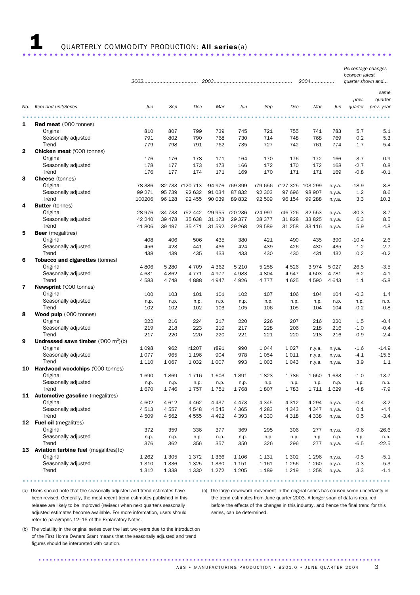# 1 QUARTERLY COMMODITY PRODUCTION: All series(a) ..................................................................... .

|  |  |  |  | . |
|--|--|--|--|---|
|  |  |  |  |   |

|                         |                                               |         |         |                  |         |         | 2004    |                  | Percentage changes<br>between latest<br>quarter shown and |           |                  |                       |
|-------------------------|-----------------------------------------------|---------|---------|------------------|---------|---------|---------|------------------|-----------------------------------------------------------|-----------|------------------|-----------------------|
|                         |                                               |         |         |                  |         |         |         |                  |                                                           |           |                  | same                  |
| No.                     | Item and unit/Series                          | Jun     | Sep     | Dec              | Mar     | Jun     | Sep     | Dec              | Mar                                                       | Jun       | prev.<br>quarter | quarter<br>prev. year |
|                         |                                               |         |         |                  |         |         |         |                  |                                                           |           |                  |                       |
| 1                       | <b>Red meat</b> ('000 tonnes)                 |         |         |                  |         |         |         |                  |                                                           |           |                  |                       |
|                         | Original                                      | 810     | 807     | 799              | 739     | 745     | 721     | 755              | 741                                                       | 783       | 5.7              | 5.1                   |
|                         | Seasonally adjusted                           | 791     | 802     | 790              | 768     | 730     | 714     | 748              | 768                                                       | 769       | 0.2              | 5.3                   |
|                         | Trend                                         | 779     | 798     | 791              | 762     | 735     | 727     | 742              | 761                                                       | 774       | 1.7              | 5.4                   |
| $\mathbf 2$             | <b>Chicken meat ('000 tonnes)</b>             |         |         |                  |         |         |         |                  |                                                           |           |                  |                       |
|                         | Original                                      | 176     | 176     | 178              | 171     | 164     | 170     | 176              | 172                                                       | 166       | $-3.7$           | 0.9                   |
|                         | Seasonally adjusted                           | 178     | 177     | 173              | 173     | 166     | 172     | 170              | 172                                                       | 168       | $-2.7$           | 0.8                   |
|                         | Trend                                         | 176     | 177     | 174              | 171     | 169     | 170     | 171              | 171                                                       | 169       | $-0.8$           | $-0.1$                |
| 3                       | <b>Cheese</b> (tonnes)                        |         |         |                  |         |         |         |                  |                                                           |           |                  |                       |
|                         | Original                                      | 78 386  |         | r82 733 r120 713 | r94 976 | r69 399 | r79 656 | r127 325 103 299 |                                                           | n.y.a.    | $-18.9$          | 8.8                   |
|                         | Seasonally adjusted                           | 99 271  | 95 739  | 92 632           | 91 034  | 87832   | 92 303  | 97 696           | 98 907                                                    | n.y.a.    | 1.2              | 8.6                   |
|                         | Trend                                         | 100206  | 96 128  | 92 455           | 90 039  | 89832   | 92 509  | 96 154           | 99 288                                                    | n.y.a.    | 3.3              | 10.3                  |
| 4                       | <b>Butter</b> (tonnes)                        |         |         |                  |         |         |         |                  |                                                           |           |                  |                       |
|                         | Original                                      | 28976   | r34 733 | r52 442          | r29 955 | r20 236 | r24 997 | r46 726          | 32 553                                                    | n.y.a.    | $-30.3$          | 8.7                   |
|                         | Seasonally adjusted                           | 42 240  | 39 4 78 | 35 638           | 31 173  | 29 377  | 28 377  | 31 828           | 33 825                                                    | n.y.a.    | 6.3              | 8.5                   |
|                         | Trend                                         | 41806   | 39 497  | 35 471           | 31 592  | 29 2 68 | 29 589  | 31 258           | 33 116                                                    | n.y.a.    | 5.9              | 4.8                   |
| 5                       | <b>Beer</b> (megalitres)                      |         |         |                  |         |         |         |                  |                                                           |           |                  |                       |
|                         | Original                                      | 408     | 406     | 506              | 435     | 380     | 421     | 490              | 435                                                       | 390       | $-10.4$          | 2.6                   |
|                         | Seasonally adjusted                           | 456     | 423     | 441              | 436     | 424     | 439     | 426              | 430                                                       | 435       | 1.2              | 2.7                   |
|                         | Trend                                         | 438     | 439     | 435              | 433     | 433     | 430     | 430              | 431                                                       | 432       | 0.2              | $-0.2$                |
| 6                       | Tobacco and cigarettes (tonnes)               |         |         |                  |         |         |         |                  |                                                           |           |                  |                       |
|                         | Original                                      | 4806    | 5 2 8 0 | 4 709            | 4 3 6 2 | 5 2 1 0 | 5 2 5 8 | 4526             | 3974                                                      | 5027      | 26.5             | $-3.5$                |
|                         | Seasonally adjusted                           | 4 6 3 1 | 4862    | 4771             | 4977    | 4983    | 4804    | 4547             | 4 5 0 3                                                   | 4 7 8 1   | 6.2              | $-4.1$                |
|                         | Trend                                         | 4583    | 4 7 4 8 | 4888             | 4947    | 4926    | 4 7 7 7 | 4625             | 4590                                                      | 4 6 4 3   | 1.1              | $-5.8$                |
| $\overline{\mathbf{r}}$ | Newsprint ('000 tonnes)                       |         |         |                  |         |         |         |                  |                                                           |           |                  |                       |
|                         | Original                                      | 100     | 103     | 101              | 101     | 102     | 107     | 106              | 104                                                       | 104       | $-0.3$           | 1.4                   |
|                         | Seasonally adjusted                           | n.p.    | n.p.    | n.p.             | n.p.    | n.p.    | n.p.    | n.p.             | n.p.                                                      | n.p.      | n.p.             | n.p.                  |
|                         | Trend                                         | 102     | 102     | 102              | 103     | 105     | 106     | 105              | 104                                                       | 104       | $-0.2$           | $-0.8$                |
| 8                       | Wood pulp ('000 tonnes)                       |         |         |                  |         |         |         |                  |                                                           |           |                  |                       |
|                         | Original                                      | 222     | 216     | 224              | 217     | 220     | 226     | 207              | 216                                                       | 220       | 1.5              | $-0.4$                |
|                         | Seasonally adjusted                           | 219     | 218     | 223              | 219     | 217     | 228     | 206              | 218                                                       | 216       | $-1.0$           | $-0.4$                |
|                         | Trend                                         | 217     | 220     | 220              | 220     | 221     | 221     | 220              | 218                                                       | 216       | $-0.9$           | $-2.4$                |
| 9                       | <b>Undressed sawn timber</b> ('000 $m^3$ )(b) |         |         |                  |         |         |         |                  |                                                           |           |                  |                       |
|                         | Original<br>Seasonally adjusted               | 1 0 9 8 | 962     | r1207            | r891    | 990     | 1044    | 1 0 2 7          | n.y.a.                                                    | n.y.a.    | $-1.6$           | $-14.9$               |
|                         | Trend                                         | 1077    | 965     | 1 1 9 6          | 904     | 978     | 1054    | 1011             | n.y.a.                                                    | n.y.a.    | $-4.1$           | $-15.5$               |
| 10                      | Hardwood woodchips ('000 tonnes)              | 1 1 1 0 | 1 0 6 7 | 1 0 3 2          | 1 0 0 7 | 993     | 1 0 0 3 | 1 0 4 3          | n.y.a.                                                    | n.y.a.    | 3.9              | 1.1                   |
|                         | Original                                      | 1690    | 1869    | 1716             | 1603    | 1891    | 1823    | 1786             | 1 650                                                     | 1633      | $-1.0$           | $-13.7$               |
|                         | Seasonally adjusted                           | n.p.    | n.p.    | n.p.             | n.p.    | n.p.    | n.p.    | n.p.             | n.p.                                                      | n.p.      | n.p.             | n.p.                  |
|                         | Trend                                         | 1670    | 1746    | 1757             | 1751    | 1768    | 1807    | 1783             |                                                           | 1711 1629 | $-4.8$           | $-7.9$                |
|                         | 11 Automotive gasoline (megalitres)           |         |         |                  |         |         |         |                  |                                                           |           |                  |                       |
|                         | Original                                      | 4 602   | 4 6 1 2 | 4 4 6 2          | 4 4 3 7 | 4 4 7 3 | 4 3 4 5 | 4 3 1 2          | 4 2 9 4                                                   | n.y.a.    | $-0.4$           | $-3.2$                |
|                         | Seasonally adjusted                           | 4513    | 4557    | 4548             | 4545    | 4 3 6 5 | 4 2 8 3 | 4 3 4 3          | 4 3 4 7                                                   | n.y.a.    | 0.1              | $-4.4$                |
|                         | Trend                                         | 4509    | 4562    | 4555             | 4 4 9 2 | 4 3 9 3 | 4 3 3 0 | 4 3 1 8          | 4 3 3 8                                                   | n.y.a.    | 0.5              | $-3.4$                |
|                         | 12 Fuel oil (megalitres)                      |         |         |                  |         |         |         |                  |                                                           |           |                  |                       |
|                         | Original                                      | 372     | 359     | 336              | 377     | 369     | 295     | 306              | 277                                                       | n.y.a.    | $-9.6$           | $-26.6$               |
|                         | Seasonally adjusted                           | n.p.    | n.p.    | n.p.             | n.p.    | n.p.    | n.p.    | n.p.             | n.p.                                                      | n.p.      | n.p.             | n.p.                  |
|                         | Trend                                         | 376     | 362     | 356              | 357     | 350     | 326     | 296              | 277                                                       | n.y.a.    | $-6.5$           | $-22.5$               |
|                         | 13 Aviation turbine fuel (megalitres)(c)      |         |         |                  |         |         |         |                  |                                                           |           |                  |                       |
|                         | Original                                      | 1 2 6 2 | 1 3 0 5 | 1372             | 1 3 6 6 | 1 1 0 6 | 1 1 3 1 | 1 3 0 2          | 1 2 9 6                                                   | n.y.a.    | $-0.5$           | $-5.1$                |
|                         | Seasonally adjusted                           | 1 3 1 0 | 1 3 3 6 | 1 3 2 5          | 1 3 3 0 | 1 1 5 1 | 1 1 6 1 | 1 2 5 6          | 1 2 6 0                                                   | n.y.a.    | 0.3              | $-5.3$                |
|                         | Trend                                         | 1312    | 1 3 3 8 | 1 3 3 0          | 1 2 7 2 | 1 2 0 5 | 1 1 8 9 | 1 2 1 9          | 1 2 5 8                                                   | n.y.a.    | 3.3              | $-1.1$                |

.................................................................................................... .

(a) Users should note that the seasonally adjusted and trend estimates have been revised. Generally, the most recent trend estimates published in this release are likely to be improved (revised) when next quarter's seasonally adjusted estimates become available. For more information, users should refer to paragraphs 12–16 of the Explanatory Notes.

(c) The large downward movement in the original series has caused some uncertainty in the trend estimates from June quarter 2003. A longer span of data is required before the effects of the changes in this industry, and hence the final trend for this series, can be determined.

(b) The volatility in the original series over the last two years due to the introduction of the First Home Owners Grant means that the seasonally adjusted and trend figures should be interpreted with caution.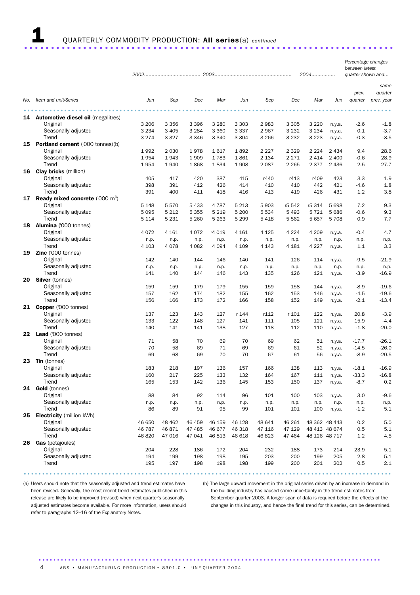# 1 QUARTERLY COMMODITY PRODUCTION: All series(a) *continued* .....................................................................

|     |                                              | 2004       |         |            |            |            |            |            | reicentage changes<br>between latest<br>quarter shown and |                  |                   |                 |
|-----|----------------------------------------------|------------|---------|------------|------------|------------|------------|------------|-----------------------------------------------------------|------------------|-------------------|-----------------|
|     |                                              |            |         |            |            |            |            |            |                                                           |                  | prev.             | same<br>quarter |
| No. | Item and unit/Series                         | Jun        | Sep     | Dec        | Mar        | Jun        | Sep        | Dec        | Mar                                                       | Jun              | quarter           | prev. year      |
|     | <b>14</b> Automotive diesel oil (megalitres) |            |         |            |            |            |            |            |                                                           |                  |                   |                 |
|     | Original                                     | 3 2 0 6    | 3 3 5 6 | 3 3 9 6    | 3 2 8 0    | 3 3 0 3    | 2983       | 3 3 0 5    | 3 2 2 0                                                   | n.y.a.           | $-2.6$            | $-1.8$          |
|     | Seasonally adjusted                          | 3 2 3 4    | 3 4 0 5 | 3 2 8 4    | 3 3 6 0    | 3 3 3 7    | 2967       | 3 2 3 2    | 3 2 3 4                                                   | n.y.a.           | 0.1               | $-3.7$          |
|     | Trend                                        | 3 2 7 4    | 3 3 2 7 | 3 3 4 6    | 3 3 4 0    | 3 3 0 4    | 3 2 6 6    | 3 2 3 2    | 3 2 2 3                                                   | n.y.a.           | $-0.3$            | $-3.5$          |
| 15  | <b>Portland cement</b> ('000 tonnes)(b)      |            |         |            |            |            |            |            |                                                           |                  |                   |                 |
|     | Original                                     | 1992       | 2 0 3 0 | 1978       | 1617       | 1892       | 2 2 2 7    | 2 3 2 9    | 2 2 2 4                                                   | 2 4 3 4          | 9.4               | 28.6            |
|     | Seasonally adjusted                          | 1954       | 1943    | 1909       | 1783       | 1861       | 2 1 3 4    | 2 2 7 1    | 2 4 1 4                                                   | 2 4 0 0          | $-0.6$            | 28.9            |
|     | Trend                                        | 1954       | 1940    | 1868       | 1834       | 1908       | 2 0 8 7    | 2 2 6 5    | 2 3 7 7                                                   | 2 4 3 6          | 2.5               | 27.7            |
| 16  | <b>Clay bricks</b> (million)                 |            |         |            |            |            |            |            |                                                           |                  |                   |                 |
|     | Original                                     | 405        | 417     | 420        | 387        | 415        | r440       | r413       | r409                                                      | 423              | 3.3               | 1.9             |
|     | Seasonally adjusted                          | 398        | 391     | 412        | 426        | 414        | 410        | 410        | 442                                                       | 421              | $-4.6$            | 1.8             |
|     | Trend                                        | 391        | 400     | 411        | 418        | 416        | 413        | 419        | 426                                                       | 431              | 1.2               | 3.8             |
| 17  | <b>Ready mixed concrete</b> ('000 $m^3$ )    |            |         |            |            |            |            |            |                                                           |                  |                   |                 |
|     | Original                                     | 5 1 4 8    | 5570    | 5 4 3 3    | 4 7 8 7    | 5 2 1 3    | 5 9 0 3    | r5 542     | r5 314                                                    | 5 6 9 8          | 7.2               | 9.3             |
|     | Seasonally adjusted                          | 5 0 9 5    | 5 2 1 2 | 5 3 5 5    | 5 2 1 9    | 5 200      | 5 5 3 4    | 5 4 9 3    | 5 7 2 1                                                   | 5 6 8 6          | $-0.6$            | 9.3             |
|     | Trend                                        | 5 1 1 4    | 5 2 3 1 | 5 2 6 0    | 5 2 6 3    | 5 2 9 9    | 5418       | 5 5 6 2    | 5 6 5 7                                                   | 5 7 0 8          | 0.9               | 7.7             |
| 18  | Alumina ('000 tonnes)                        |            |         |            |            |            |            |            |                                                           |                  |                   |                 |
|     | Original                                     | 4072       | 4 1 6 1 | 4 0 7 2    | r4 019     | 4 1 6 1    | 4 1 2 5    | 4 2 2 4    | 4 2 0 9                                                   | n.y.a.           | $-0.4$            | 4.7             |
|     | Seasonally adjusted                          | n.p.       | n.p.    | n.p.       | n.p.       | n.p.       | n.p.       | n.p.       | n.p.                                                      | n.p.             | n.p.              | n.p.            |
|     | Trend                                        | 4 1 0 3    | 4 0 7 8 | 4 0 8 2    | 4 0 9 4    | 4 1 0 9    | 4 1 4 3    | 4 1 8 1    | 4 2 2 7                                                   | n.y.a.           | 1.1               | 3.3             |
| 19  | Zinc ('000 tonnes)                           |            |         |            |            |            |            |            |                                                           |                  |                   |                 |
|     | Original                                     | 142        | 140     | 144        | 146        | 140        | 141        | 126        | 114                                                       | n.y.a.           | $-9.5$            | $-21.9$         |
|     | Seasonally adjusted                          | n.p.       | n.p.    | n.p.       | n.p.       | n.p.       | n.p.       | n.p.       | n.p.                                                      | n.p.             | n.p.              | n.p.            |
|     | Trend                                        | 141        | 140     | 144        | 146        | 143        | 135        | 126        | 121                                                       | n.y.a.           | $-3.9$            | $-16.9$         |
| 20  | <b>Silver</b> (tonnes)                       |            |         |            |            |            |            |            |                                                           |                  |                   |                 |
|     | Original                                     | 159        | 159     | 179        | 179        | 155        | 159        | 158        | 144                                                       |                  | $-8.9$            | $-19.6$         |
|     | Seasonally adjusted                          | 157        | 162     | 174        | 182        | 155        | 162        | 153        | 146                                                       | n.y.a.<br>n.y.a. | $-4.5$            | $-19.6$         |
|     | Trend                                        | 156        | 166     | 173        | 172        | 166        | 158        | 152        | 149                                                       |                  | $-2.1$            | $-13.4$         |
|     | 21 Copper ('000 tonnes)                      |            |         |            |            |            |            |            |                                                           | n.y.a.           |                   |                 |
|     | Original                                     | 137        | 123     | 143        | 127        | r 144      | r112       | r 101      | 122                                                       |                  | 20.8              | $-3.9$          |
|     |                                              |            | 122     | 148        |            | 141        |            |            |                                                           | n.y.a.           |                   | $-4.4$          |
|     | Seasonally adjusted<br>Trend                 | 133<br>140 | 141     | 141        | 127<br>138 | 127        | 111<br>118 | 105<br>112 | 121                                                       | n.y.a.           | 15.9              | $-20.0$         |
| 22  | Lead ('000 tonnes)                           |            |         |            |            |            |            |            | 110                                                       | n.y.a.           | $-1.8$            |                 |
|     | Original                                     | 71         | 58      | 70         | 69         | 70         | 69         | 62         | 51                                                        |                  | $-17.7$           | $-26.1$         |
|     | Seasonally adjusted                          | 70         | 58      | 69         | 71         | 69         | 69         | 61         | 52                                                        | n.y.a.           | $-14.5$           | $-26.0$         |
|     | Trend                                        | 69         | 68      | 69         | 70         | 70         | 67         | 61         | 56                                                        | n.y.a.           | $-8.9$            | $-20.5$         |
| 23. | <b>Tin</b> (tonnes)                          |            |         |            |            |            |            |            |                                                           | n.y.a.           |                   |                 |
|     | Original                                     | 183        | 218     | 197        | 136        | 157        | 166        | 138        | 113                                                       |                  | $-18.1$           | $-16.9$         |
|     |                                              | 160        | 217     | 225        | 133        | 132        | 164        | 167        |                                                           | n.y.a.           |                   |                 |
|     | Seasonally adjusted<br>Trend                 | 165        | 153     | 142        | 136        | 145        | 153        | 150        | 111<br>137                                                | n.y.a.           | $-33.3$<br>$-8.7$ | $-16.8$<br>0.2  |
| 24  | Gold (tonnes)                                |            |         |            |            |            |            |            |                                                           | n.y.a.           |                   |                 |
|     | Original                                     | 88         | 84      | 92         | 114        | 96         | 101        | 100        | 103                                                       |                  | 3.0               | $-9.6$          |
|     | Seasonally adjusted                          |            |         |            |            |            |            |            |                                                           | n.y.a.           |                   |                 |
|     | Trend                                        | n.p.       | n.p.    | n.p.       | n.p.       | n.p.       | n.p.       | n.p.       | n.p.                                                      | n.p.             | n.p.              | n.p.            |
| 25  |                                              | 86         | 89      | 91         | 95         | 99         | 101        | 101        | 100                                                       | n.y.a.           | $-1.2$            | 5.1             |
|     | <b>Electricity</b> (million kWh)             |            |         |            |            |            |            |            |                                                           |                  |                   |                 |
|     | Original                                     | 46 650     | 48 462  | 46 459     | 46 159     | 46 128     | 48 641     | 46 261     |                                                           | 48 362 48 443    | 0.2               | 5.0             |
|     | Seasonally adjusted                          | 46 787     | 46 871  | 47 485     | 46 677     | 46 318     | 47 116     | 47 129     |                                                           | 48 413 48 674    | 0.5               | 5.1             |
|     | Trend                                        | 46 820     | 47 016  | 47 041     | 46 813     | 46 618     | 46 823     | 47 4 64    |                                                           | 48 126 48 717    | 1.2               | 4.5             |
| 26  | Gas (petajoules)                             |            |         |            |            |            |            |            |                                                           |                  |                   |                 |
|     | Original                                     | 204        | 228     | 186        | 172        | 204        | 232        | 188        | 173                                                       | 214              | 23.9              | 5.1             |
|     | Seasonally adjusted<br>Trend                 | 194        | 199     | 198<br>198 | 198<br>198 | 195<br>198 | 203<br>199 | 200<br>200 | 199<br>201                                                | 205<br>202       | 2.8<br>0.5        | 5.1<br>2.1      |
|     |                                              | 195        | 197     |            |            |            |            |            |                                                           |                  |                   |                 |

(a) Users should note that the seasonally adjusted and trend estimates have been revised. Generally, the most recent trend estimates published in this release are likely to be improved (revised) when next quarter's seasonally adjusted estimates become available. For more information, users should refer to paragraphs 12–16 of the Explanatory Notes.

(b) The large upward movement in the original series driven by an increase in demand in the building industry has caused some uncertainty in the trend estimates from September quarter 2003. A longer span of data is required before the effects of the changes in this industry, and hence the final trend for this series, can be determined.

*Percentage changes*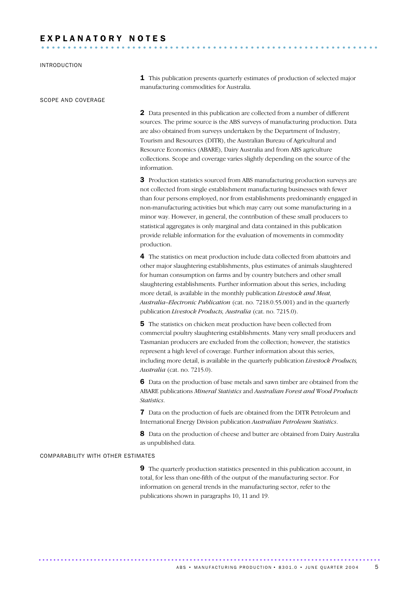# E X P L A N A T O R Y N O T E S ............................................................... ..

#### INTRODUCTION

SCOPE AND COVERAGE

**1** This publication presents quarterly estimates of production of selected major manufacturing commodities for Australia.

2 Data presented in this publication are collected from a number of different sources. The prime source is the ABS surveys of manufacturing production. Data are also obtained from surveys undertaken by the Department of Industry, Tourism and Resources (DITR), the Australian Bureau of Agricultural and Resource Economics (ABARE), Dairy Australia and from ABS agriculture collections. Scope and coverage varies slightly depending on the source of the information.

**3** Production statistics sourced from ABS manufacturing production surveys are not collected from single establishment manufacturing businesses with fewer than four persons employed, nor from establishments predominantly engaged in non-manufacturing activities but which may carry out some manufacturing in a minor way. However, in general, the contribution of these small producers to statistical aggregates is only marginal and data contained in this publication provide reliable information for the evaluation of movements in commodity production.

4 The statistics on meat production include data collected from abattoirs and other major slaughtering establishments, plus estimates of animals slaughtered for human consumption on farms and by country butchers and other small slaughtering establishments. Further information about this series, including more detail, is available in the monthly publication *Livestock and Meat, Australia–Electronic Publication* (cat. no. 7218.0.55.001) and in the quarterly publication *Livestock Products, Australia* (cat. no. 7215.0).

5 The statistics on chicken meat production have been collected from commercial poultry slaughtering establishments. Many very small producers and Tasmanian producers are excluded from the collection; however, the statistics represent a high level of coverage. Further information about this series, including more detail, is available in the quarterly publication *Livestock Products, Australia* (cat. no. 7215.0).

6 Data on the production of base metals and sawn timber are obtained from the ABARE publications *Mineral Statistics* and *Australian Forest and Wood Products Statistics*.

7 Data on the production of fuels are obtained from the DITR Petroleum and International Energy Division publication *Australian Petroleum Statistics*.

8 Data on the production of cheese and butter are obtained from Dairy Australia as unpublished data.

#### COMPARABILITY WITH OTHER ESTIMATES

9 The quarterly production statistics presented in this publication account, in total, for less than one-fifth of the output of the manufacturing sector. For information on general trends in the manufacturing sector, refer to the publications shown in paragraphs 10, 11 and 19.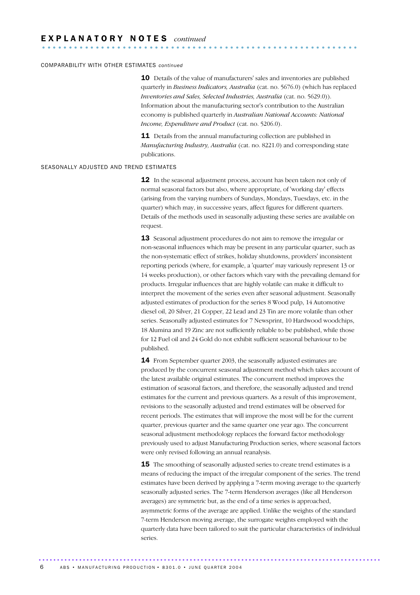#### COMPARABILITY WITH OTHER ESTIMATES *continued*

10 Details of the value of manufacturers' sales and inventories are published quarterly in *Business Indicators, Australia* (cat. no. 5676.0) (which has replaced *Inventories and Sales, Selected Industries, Australia* (cat. no. 5629.0)). Information about the manufacturing sector's contribution to the Australian economy is published quarterly in *Australian National Accounts: National Income, Expenditure and Product* (cat. no. 5206.0).

11 Details from the annual manufacturing collection are published in *Manufacturing Industry, Australia* (cat. no. 8221.0) and corresponding state publications.

#### SEASONALLY ADJUSTED AND TREND ESTIMATES

12 In the seasonal adjustment process, account has been taken not only of normal seasonal factors but also, where appropriate, of 'working day' effects (arising from the varying numbers of Sundays, Mondays, Tuesdays, etc. in the quarter) which may, in successive years, affect figures for different quarters. Details of the methods used in seasonally adjusting these series are available on request.

13 Seasonal adjustment procedures do not aim to remove the irregular or non-seasonal influences which may be present in any particular quarter, such as the non-systematic effect of strikes, holiday shutdowns, providers' inconsistent reporting periods (where, for example, a 'quarter' may variously represent 13 or 14 weeks production), or other factors which vary with the prevailing demand for products. Irregular influences that are highly volatile can make it difficult to interpret the movement of the series even after seasonal adjustment. Seasonally adjusted estimates of production for the series 8 Wood pulp, 14 Automotive diesel oil, 20 Silver, 21 Copper, 22 Lead and 23 Tin are more volatile than other series. Seasonally adjusted estimates for 7 Newsprint, 10 Hardwood woodchips, 18 Alumina and 19 Zinc are not sufficiently reliable to be published, while those for 12 Fuel oil and 24 Gold do not exhibit sufficient seasonal behaviour to be published.

**14** From September quarter 2003, the seasonally adjusted estimates are produced by the concurrent seasonal adjustment method which takes account of the latest available original estimates. The concurrent method improves the estimation of seasonal factors, and therefore, the seasonally adjusted and trend estimates for the current and previous quarters. As a result of this improvement, revisions to the seasonally adjusted and trend estimates will be observed for recent periods. The estimates that will improve the most will be for the current quarter, previous quarter and the same quarter one year ago. The concurrent seasonal adjustment methodology replaces the forward factor methodology previously used to adjust Manufacturing Production series, where seasonal factors were only revised following an annual reanalysis.

**15** The smoothing of seasonally adjusted series to create trend estimates is a means of reducing the impact of the irregular component of the series. The trend estimates have been derived by applying a 7-term moving average to the quarterly seasonally adjusted series. The 7-term Henderson averages (like all Henderson averages) are symmetric but, as the end of a time series is approached, asymmetric forms of the average are applied. Unlike the weights of the standard 7-term Henderson moving average, the surrogate weights employed with the quarterly data have been tailored to suit the particular characteristics of individual series.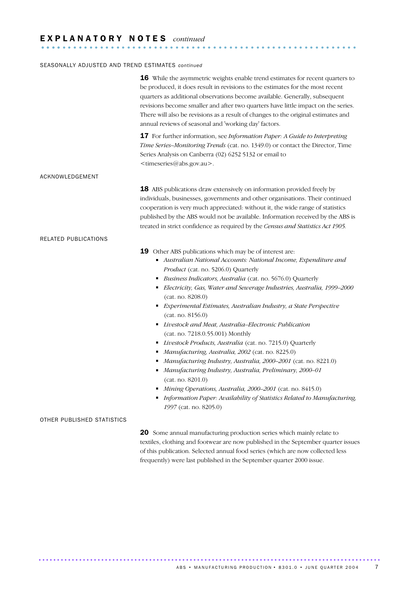### E X P L A N A T O R Y N O T E S *continued*

#### SEASONALLY ADJUSTED AND TREND ESTIMATES *continued*

|                            | 16 While the asymmetric weights enable trend estimates for recent quarters to<br>be produced, it does result in revisions to the estimates for the most recent<br>quarters as additional observations become available. Generally, subsequent<br>revisions become smaller and after two quarters have little impact on the series.<br>There will also be revisions as a result of changes to the original estimates and<br>annual reviews of seasonal and 'working day' factors.                                                                                                                                                                                                                                                                                                                                                                                                                                                                                   |  |  |  |  |
|----------------------------|--------------------------------------------------------------------------------------------------------------------------------------------------------------------------------------------------------------------------------------------------------------------------------------------------------------------------------------------------------------------------------------------------------------------------------------------------------------------------------------------------------------------------------------------------------------------------------------------------------------------------------------------------------------------------------------------------------------------------------------------------------------------------------------------------------------------------------------------------------------------------------------------------------------------------------------------------------------------|--|--|--|--|
|                            | <b>17</b> For further information, see <i>Information Paper: A Guide to Interpreting</i><br>Time Series-Monitoring Trends (cat. no. 1349.0) or contact the Director, Time<br>Series Analysis on Canberra (02) 6252 5132 or email to<br><timeseries@abs.gov.au>.</timeseries@abs.gov.au>                                                                                                                                                                                                                                                                                                                                                                                                                                                                                                                                                                                                                                                                            |  |  |  |  |
| ACKNOWLEDGEMENT            |                                                                                                                                                                                                                                                                                                                                                                                                                                                                                                                                                                                                                                                                                                                                                                                                                                                                                                                                                                    |  |  |  |  |
|                            | 18 ABS publications draw extensively on information provided freely by<br>individuals, businesses, governments and other organisations. Their continued<br>cooperation is very much appreciated: without it, the wide range of statistics<br>published by the ABS would not be available. Information received by the ABS is<br>treated in strict confidence as required by the Census and Statistics Act 1905.                                                                                                                                                                                                                                                                                                                                                                                                                                                                                                                                                    |  |  |  |  |
| RELATED PUBLICATIONS       |                                                                                                                                                                                                                                                                                                                                                                                                                                                                                                                                                                                                                                                                                                                                                                                                                                                                                                                                                                    |  |  |  |  |
|                            | 19 Other ABS publications which may be of interest are:<br>Australian National Accounts: National Income, Expenditure and<br>Product (cat. no. 5206.0) Quarterly<br>Business Indicators, Australia (cat. no. 5676.0) Quarterly<br>Electricity, Gas, Water and Sewerage Industries, Australia, 1999-2000<br>(cat. no. 8208.0)<br>Experimental Estimates, Australian Industry, a State Perspective<br>(cat. no. 8156.0)<br>• Livestock and Meat, Australia-Electronic Publication<br>(cat. no. 7218.0.55.001) Monthly<br>Livestock Products, Australia (cat. no. 7215.0) Quarterly<br>Manufacturing, Australia, 2002 (cat. no. 8225.0)<br>٠<br>Manufacturing Industry, Australia, 2000-2001 (cat. no. 8221.0)<br>٠<br>Manufacturing Industry, Australia, Preliminary, 2000-01<br>(cat. no. 8201.0)<br>Mining Operations, Australia, 2000-2001 (cat. no. 8415.0)<br>Information Paper: Availability of Statistics Related to Manufacturing,<br>1997 (cat. no. 8205.0) |  |  |  |  |
| OTHER PUBLISHED STATISTICS |                                                                                                                                                                                                                                                                                                                                                                                                                                                                                                                                                                                                                                                                                                                                                                                                                                                                                                                                                                    |  |  |  |  |
|                            | 20 Some annual manufacturing production series which mainly relate to<br>textiles, clothing and footwear are now published in the September quarter issues<br>of this publication. Selected annual food series (which are now collected less                                                                                                                                                                                                                                                                                                                                                                                                                                                                                                                                                                                                                                                                                                                       |  |  |  |  |

........................................................... ....

frequently) were last published in the September quarter 2000 issue.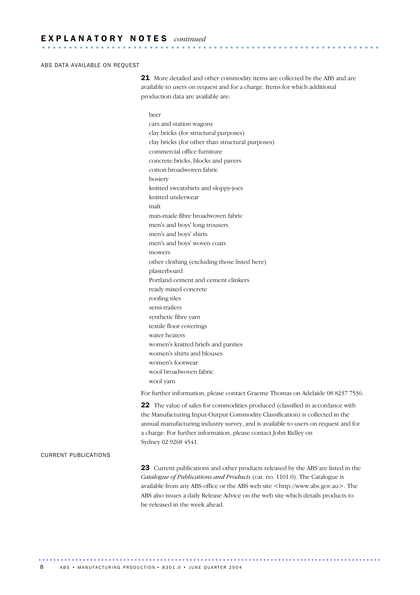#### ABS DATA AVAILABLE ON REQUEST

21 More detailed and other commodity items are collected by the ABS and are available to users on request and for a charge. Items for which additional production data are available are:

#### beer

cars and station wagons clay bricks (for structural purposes) clay bricks (for other than structural purposes) commercial office furniture concrete bricks, blocks and pavers cotton broadwoven fabric hosiery knitted sweatshirts and sloppy-joes knitted underwear malt man-made fibre broadwoven fabric men's and boys' long trousers men's and boys' shirts men's and boys' woven coats mowers other clothing (excluding those listed here) plasterboard Portland cement and cement clinkers ready mixed concrete roofing tiles semi-trailers synthetic fibre yarn textile floor coverings water heaters women's knitted briefs and panties women's shirts and blouses women's footwear wool broadwoven fabric wool yarn

For further information, please contact Graeme Thomas on Adelaide 08 8237 7536.

22 The value of sales for commodities produced (classified in accordance with the Manufacturing Input-Output Commodity Classification) is collected in the annual manufacturing industry survey, and is available to users on request and for a charge. For further information, please contact John Ridley on Sydney 02 9268 4541.

#### CURRENT PUBLICATIONS

23 Current publications and other products released by the ABS are listed in the *Catalogue of Publications and Products* (cat. no. 1101.0). The Catalogue is available from any ABS office or the ABS web site <http://www.abs.gov.au>. The ABS also issues a daily Release Advice on the web site which details products to be released in the week ahead.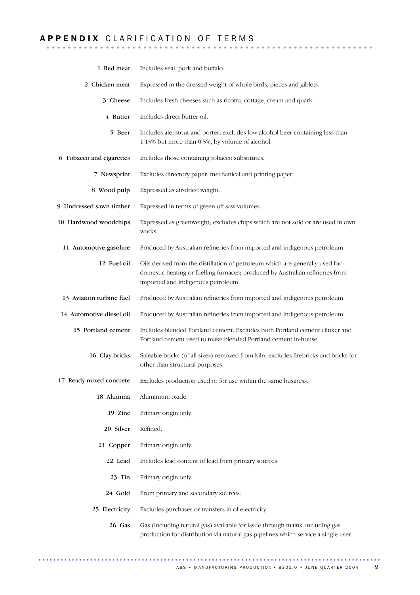# A P P E N D I X C L A R I F I C A T I O N O F T E R M S ........................

| 1 Red meat               | Includes veal, pork and buffalo.                                                                                                                                                                    |
|--------------------------|-----------------------------------------------------------------------------------------------------------------------------------------------------------------------------------------------------|
| 2 Chicken meat           | Expressed in the dressed weight of whole birds, pieces and giblets.                                                                                                                                 |
| 3 Cheese                 | Includes fresh cheeses such as ricotta, cottage, cream and quark.                                                                                                                                   |
| 4 Butter                 | Includes direct butter oil.                                                                                                                                                                         |
| 5 Beer                   | Includes ale, stout and porter; excludes low alcohol beer containing less than<br>1.15% but more than 0.5%, by volume of alcohol.                                                                   |
| 6 Tobacco and cigarettes | Includes those containing tobacco substitutes.                                                                                                                                                      |
| 7 Newsprint              | Excludes directory paper, mechanical and printing paper.                                                                                                                                            |
| 8 Wood pulp              | Expressed as air-dried weight.                                                                                                                                                                      |
| 9 Undressed sawn timber  | Expressed in terms of green off saw volumes.                                                                                                                                                        |
| 10 Hardwood woodchips    | Expressed as greenweight; excludes chips which are not sold or are used in own<br>works.                                                                                                            |
| 11 Automotive gasoline   | Produced by Australian refineries from imported and indigenous petroleum.                                                                                                                           |
| 12 Fuel oil              | Oils derived from the distillation of petroleum which are generally used for<br>domestic heating or fuelling furnaces; produced by Australian refineries from<br>imported and indigenous petroleum. |
| 13 Aviation turbine fuel | Produced by Australian refineries from imported and indigenous petroleum.                                                                                                                           |
| 14 Automotive diesel oil | Produced by Australian refineries from imported and indigenous petroleum.                                                                                                                           |
| 15 Portland cement       | Includes blended Portland cement. Excludes both Portland cement clinker and<br>Portland cement used to make blended Portland cement in-house.                                                       |
| 16 Clay bricks           | Saleable bricks (of all sizes) removed from kiln; excludes firebricks and bricks for<br>other than structural purposes.                                                                             |
| 17 Ready mixed concrete  | Excludes production used or for use within the same business.                                                                                                                                       |
| 18 Alumina               | Aluminium oxide.                                                                                                                                                                                    |
| 19 Zinc                  | Primary origin only.                                                                                                                                                                                |
| 20 Silver                | Refined.                                                                                                                                                                                            |
| 21 Copper                | Primary origin only.                                                                                                                                                                                |
| 22 Lead                  | Includes lead content of lead from primary sources.                                                                                                                                                 |
| 23 Tin                   | Primary origin only.                                                                                                                                                                                |
| 24 Gold                  | From primary and secondary sources.                                                                                                                                                                 |
| 25 Electricity           | Excludes purchases or transfers in of electricity.                                                                                                                                                  |
| 26 Gas                   | Gas (including natural gas) available for issue through mains, including gas<br>production for distribution via natural gas pipelines which service a single user.                                  |